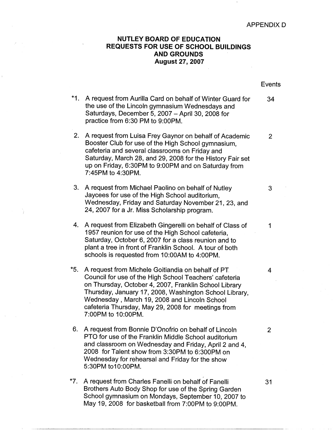## **APPENDIXD**

## **NUTLEY BOARD OF EDUCATION REQUESTS FOR USE OF SCHOOL BUILDINGS AND GROUNDS August27,2007**

|       |                                                                                                                                                                                                                                                                                                                                                             | Events |
|-------|-------------------------------------------------------------------------------------------------------------------------------------------------------------------------------------------------------------------------------------------------------------------------------------------------------------------------------------------------------------|--------|
| $*1.$ | A request from Aurilla Card on behalf of Winter Guard for<br>the use of the Lincoln gymnasium Wednesdays and<br>Saturdays, December 5, 2007 - April 30, 2008 for<br>practice from 6:30 PM to 9:00PM.                                                                                                                                                        | 34     |
| 2.    | A request from Luisa Frey Gaynor on behalf of Academic<br>Booster Club for use of the High School gymnasium,<br>cafeteria and several classrooms on Friday and<br>Saturday, March 28, and 29, 2008 for the History Fair set<br>up on Friday, 6:30PM to 9:00PM and on Saturday from<br>7:45PM to 4:30PM.                                                     | 2      |
| 3.    | A request from Michael Paolino on behalf of Nutley<br>Jaycees for use of the High School auditorium,<br>Wednesday, Friday and Saturday November 21, 23, and<br>24, 2007 for a Jr. Miss Scholarship program.                                                                                                                                                 | 3      |
| 4.    | A request from Elizabeth Gingerelli on behalf of Class of<br>1957 reunion for use of the High School cafeteria,<br>Saturday, October 6, 2007 for a class reunion and to<br>plant a tree in front of Franklin School. A tour of both<br>schools is requested from 10:00AM to 4:00PM.                                                                         | 1      |
| *5.   | A request from Michele Goitiandia on behalf of PT.<br>Council for use of the High School Teachers' cafeteria<br>on Thursday, October 4, 2007, Franklin School Library<br>Thursday, January 17, 2008, Washington School Library,<br>Wednesday, March 19, 2008 and Lincoln School<br>cafeteria Thursday, May 29, 2008 for meetings from<br>7:00PM to 10:00PM. | 4      |
| 6.    | A request from Bonnie D'Onofrio on behalf of Lincoln<br>PTO for use of the Franklin Middle School auditorium<br>and classroom on Wednesday and Friday, April 2 and 4,<br>2008 for Talent show from 3:30PM to 6:300PM on<br>Wednesday for rehearsal and Friday for the show<br>5:30PM to10:00PM.                                                             | 2      |
| $*7.$ | A request from Charles Fanelli on behalf of Fanelli<br>Brothers Auto Body Shop for use of the Spring Garden<br>School gymnasium on Mondays, September 10, 2007 to                                                                                                                                                                                           | 31     |

Ì.

May 19, 2008 for b'asketball from 7:00PM to 9:00PM.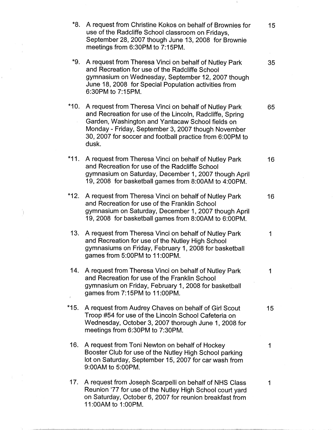| *8.    | A request from Christine Kokos on behalf of Brownies for<br>use of the Radcliffe School classroom on Fridays,<br>September 28, 2007 though June 13, 2008 for Brownie<br>meetings from 6:30PM to 7:15PM.                                                                                          | 15 |
|--------|--------------------------------------------------------------------------------------------------------------------------------------------------------------------------------------------------------------------------------------------------------------------------------------------------|----|
| *9.    | A request from Theresa Vinci on behalf of Nutley Park<br>and Recreation for use of the Radcliffe School<br>gymnasium on Wednesday, September 12, 2007 though<br>June 18, 2008 for Special Population activities from<br>6:30PM to 7:15PM.                                                        | 35 |
| $*10.$ | A request from Theresa Vinci on behalf of Nutley Park<br>and Recreation for use of the Lincoln, Radcliffe, Spring<br>Garden, Washington and Yantacaw School fields on<br>Monday - Friday, September 3, 2007 though November<br>30, 2007 for soccer and football practice from 6:00PM to<br>dusk. | 65 |
| *11.   | A request from Theresa Vinci on behalf of Nutley Park<br>and Recreation for use of the Radcliffe School<br>gymnasium on Saturday, December 1, 2007 though April<br>19, 2008 for basketball games from 8:00AM to 4:00PM.                                                                          | 16 |
| $*12.$ | A request from Theresa Vinci on behalf of Nutley Park<br>and Recreation for use of the Franklin School<br>gymnasium on Saturday, December 1, 2007 though April<br>19, 2008 for basketball games from 8:00AM to 6:00PM.                                                                           | 16 |
| 13.    | A request from Theresa Vinci on behalf of Nutley Park<br>and Recreation for use of the Nutley High School<br>gymnasiums on Friday, February 1, 2008 for basketball<br>games from 5:00PM to 11:00PM.                                                                                              | 1  |
|        | 14. A request from Theresa Vinci on behalf of Nutley Park<br>and Recreation for use of the Franklin School<br>gymnasium on Friday, February 1, 2008 for basketball<br>games from 7:15PM to 11:00PM.                                                                                              | 1  |
| $*15.$ | A request from Audrey Chaves on behalf of Girl Scout<br>Troop #54 for use of the Lincoln School Cafeteria on<br>Wednesday, October 3, 2007 thorough June 1, 2008 for<br>meetings from 6:30PM to 7:30PM.                                                                                          | 15 |
| 16.    | A request from Toni Newton on behalf of Hockey<br>Booster Club for use of the Nutley High School parking<br>lot on Saturday, September 15, 2007 for car wash from<br>9:00AM to 5:00PM.                                                                                                           | 1  |
| 17.    | A request from Joseph Scarpelli on behalf of NHS Class<br>Reunion '77 for use of the Nutley High School court yard<br>on Saturday, October 6, 2007 for reunion breakfast from<br>11:00AM to 1:00PM.                                                                                              | 1  |

 $\label{eq:2.1} \begin{split} \mathcal{E}^{(1)}_{\text{max}}(1) &= \mathcal{E}^{(1)}_{\text{max}}(1) \,, \end{split}$ 

ina<br>Kabupatèn

 $\label{eq:2} \frac{1}{2} \int_{\mathbb{R}^3} \frac{1}{\sqrt{2}} \, \frac{1}{\sqrt{2}} \, \frac{1}{\sqrt{2}} \, \frac{1}{\sqrt{2}} \, \frac{1}{\sqrt{2}} \, \frac{1}{\sqrt{2}} \, \frac{1}{\sqrt{2}} \, \frac{1}{\sqrt{2}} \, \frac{1}{\sqrt{2}} \, \frac{1}{\sqrt{2}} \, \frac{1}{\sqrt{2}} \, \frac{1}{\sqrt{2}} \, \frac{1}{\sqrt{2}} \, \frac{1}{\sqrt{2}} \, \frac{1}{\sqrt{2}} \, \frac{1}{\sqrt{2}} \, \frac$ 

 $\mathcal{A}_\mathcal{I}$ 

 $\mathcal{A}^{\mathcal{A}}$ 

 $\sim$   $\sim$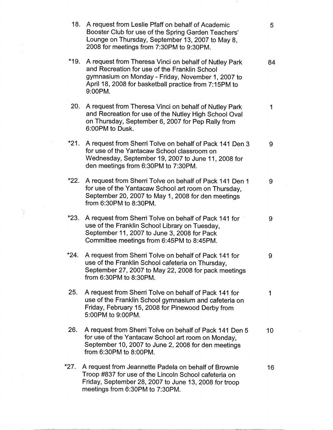|        | 18. A request from Leslie Pfaff on behalf of Academic<br>Booster Club for use of the Spring Garden Teachers'<br>Lounge on Thursday, September 13, 2007 to May 8,<br>2008 for meetings from 7:30PM to 9:30PM.                    | 5  |
|--------|---------------------------------------------------------------------------------------------------------------------------------------------------------------------------------------------------------------------------------|----|
| $*19.$ | A request from Theresa Vinci on behalf of Nutley Park<br>and Recreation for use of the Franklin School<br>gymnasium on Monday - Friday, November 1, 2007 to<br>April 18, 2008 for basketball practice from 7:15PM to<br>9:00PM. | 84 |
| 20.    | A request from Theresa Vinci on behalf of Nutley Park<br>and Recreation for use of the Nutley High School Oval<br>on Thursday, September 6, 2007 for Pep Rally from<br>6:00PM to Dusk.                                          | 1  |
| *21.   | A request from Sherri Tolve on behalf of Pack 141 Den 3<br>for use of the Yantacaw School classroom on<br>Wednesday, September 19, 2007 to June 11, 2008 for<br>den meetings from 6:30PM to 7:30PM.                             | 9  |
| *22.   | A request from Sherri Tolve on behalf of Pack 141 Den 1<br>for use of the Yantacaw School art room on Thursday,<br>September 20, 2007 to May 1, 2008 for den meetings<br>from 6:30PM to 8:30PM.                                 | 9  |
| $*23.$ | A request from Sherri Tolve on behalf of Pack 141 for<br>use of the Franklin School Library on Tuesday,<br>September 11, 2007 to June 3, 2008 for Pack<br>Committee meetings from 6:45PM to 8:45PM.                             | 9  |
| *24.   | A request from Sherri Tolve on behalf of Pack 141 for<br>use of the Franklin School cafeteria on Thursday,<br>September 27, 2007 to May 22, 2008 for pack meetings<br>from 6:30PM to 8:30PM.                                    | 9  |
| 25.    | A request from Sherri Tolve on behalf of Pack 141 for<br>use of the Franklin School gymnasium and cafeteria on<br>Friday, February 15, 2008 for Pinewood Derby from<br>5:00PM to 9:00PM.                                        | 1  |
| 26.    | A request from Sherri Tolve on behalf of Pack 141 Den 5<br>for use of the Yantacaw School art room on Monday,<br>September 10, 2007 to June 2, 2008 for den meetings<br>from 6:30PM to 8:00PM.                                  | 10 |
| $*27.$ | A request from Jeannette Padela on behalf of Brownie<br>Troop #837 for use of the Lincoln School cafeteria on<br>Friday, September 28, 2007 to June 13, 2008 for troop<br>meetings from 6:30PM to 7:30PM.                       | 16 |

 $\sim 100$